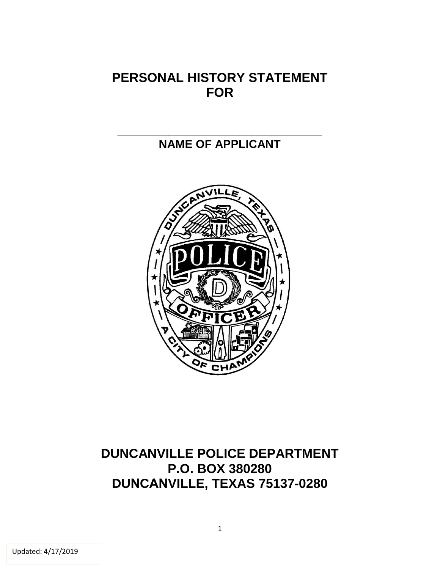## **PERSONAL HISTORY STATEMENT FOR**

#### **\_\_\_\_\_\_\_\_\_\_\_\_\_\_\_\_\_\_\_\_\_\_\_\_\_\_\_\_\_\_\_\_ NAME OF APPLICANT**



## **DUNCANVILLE POLICE DEPARTMENT P.O. BOX 380280 DUNCANVILLE, TEXAS 75137-0280**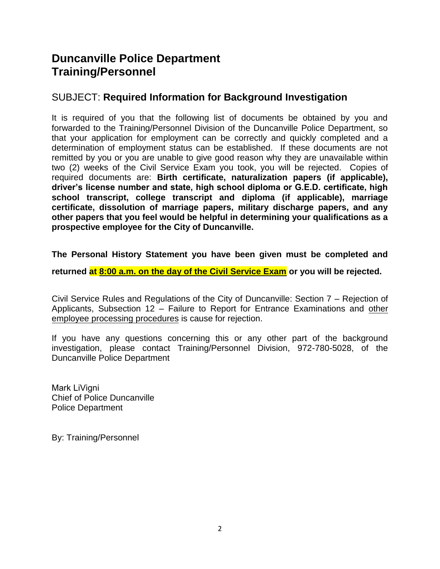#### **Duncanville Police Department Training/Personnel**

#### SUBJECT: **Required Information for Background Investigation**

It is required of you that the following list of documents be obtained by you and forwarded to the Training/Personnel Division of the Duncanville Police Department, so that your application for employment can be correctly and quickly completed and a determination of employment status can be established. If these documents are not remitted by you or you are unable to give good reason why they are unavailable within two (2) weeks of the Civil Service Exam you took, you will be rejected. Copies of required documents are: **Birth certificate, naturalization papers (if applicable), driver's license number and state, high school diploma or G.E.D. certificate, high school transcript, college transcript and diploma (if applicable), marriage certificate, dissolution of marriage papers, military discharge papers, and any other papers that you feel would be helpful in determining your qualifications as a prospective employee for the City of Duncanville.** 

**The Personal History Statement you have been given must be completed and** 

**returned at 8:00 a.m. on the day of the Civil Service Exam or you will be rejected.** 

Civil Service Rules and Regulations of the City of Duncanville: Section 7 – Rejection of Applicants, Subsection 12 – Failure to Report for Entrance Examinations and other employee processing procedures is cause for rejection.

If you have any questions concerning this or any other part of the background investigation, please contact Training/Personnel Division, 972-780-5028, of the Duncanville Police Department

Mark LiVigni Chief of Police Duncanville Police Department

By: Training/Personnel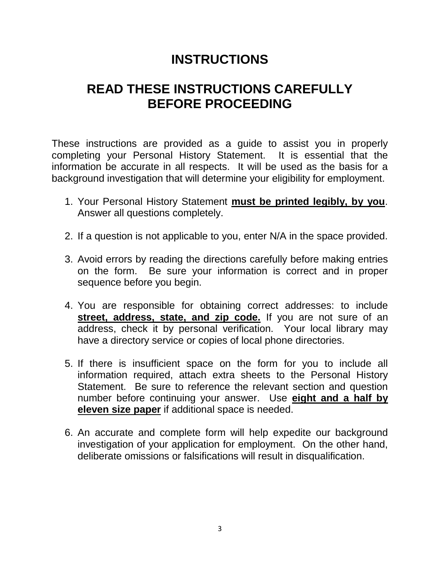# **INSTRUCTIONS**

# **READ THESE INSTRUCTIONS CAREFULLY BEFORE PROCEEDING**

These instructions are provided as a guide to assist you in properly completing your Personal History Statement. It is essential that the information be accurate in all respects. It will be used as the basis for a background investigation that will determine your eligibility for employment.

- 1. Your Personal History Statement **must be printed legibly, by you**. Answer all questions completely.
- 2. If a question is not applicable to you, enter N/A in the space provided.
- 3. Avoid errors by reading the directions carefully before making entries on the form. Be sure your information is correct and in proper sequence before you begin.
- 4. You are responsible for obtaining correct addresses: to include **street, address, state, and zip code.** If you are not sure of an address, check it by personal verification. Your local library may have a directory service or copies of local phone directories.
- 5. If there is insufficient space on the form for you to include all information required, attach extra sheets to the Personal History Statement. Be sure to reference the relevant section and question number before continuing your answer. Use **eight and a half by eleven size paper** if additional space is needed.
- 6. An accurate and complete form will help expedite our background investigation of your application for employment. On the other hand, deliberate omissions or falsifications will result in disqualification.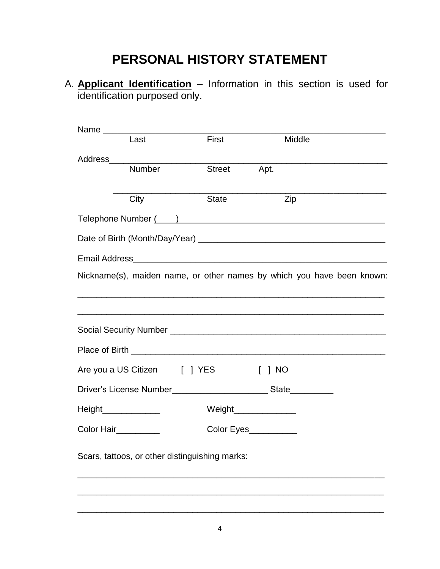# **PERSONAL HISTORY STATEMENT**

A. **Applicant Identification** – Information in this section is used for identification purposed only.

| Last                                                                                                                                                                                                                          | First                                                                                                                |               |                        | Middle                                                                                    |  |
|-------------------------------------------------------------------------------------------------------------------------------------------------------------------------------------------------------------------------------|----------------------------------------------------------------------------------------------------------------------|---------------|------------------------|-------------------------------------------------------------------------------------------|--|
|                                                                                                                                                                                                                               |                                                                                                                      |               |                        | the control of the control of the control of the control of the control of the control of |  |
| <b>Number</b>                                                                                                                                                                                                                 |                                                                                                                      | <b>Street</b> | Apt.                   |                                                                                           |  |
|                                                                                                                                                                                                                               |                                                                                                                      |               |                        |                                                                                           |  |
| City                                                                                                                                                                                                                          | <b>State</b>                                                                                                         |               | Zip                    |                                                                                           |  |
| Telephone Number (Contract and Contract and Contract and Contract and Contract and Contract and Contract and Contract and Contract and Contract and Contract and Contract and Contract and Contract and Contract and Contract |                                                                                                                      |               |                        |                                                                                           |  |
|                                                                                                                                                                                                                               |                                                                                                                      |               |                        |                                                                                           |  |
|                                                                                                                                                                                                                               |                                                                                                                      |               |                        |                                                                                           |  |
| Nickname(s), maiden name, or other names by which you have been known:                                                                                                                                                        |                                                                                                                      |               |                        |                                                                                           |  |
|                                                                                                                                                                                                                               | <u> 1980 - Jan Samuel Barbara, margaret a shekara 1980 - 1980 - 1980 - 1980 - 1980 - 1980 - 1980 - 1980 - 1980 -</u> |               |                        |                                                                                           |  |
|                                                                                                                                                                                                                               |                                                                                                                      |               |                        |                                                                                           |  |
|                                                                                                                                                                                                                               |                                                                                                                      |               |                        |                                                                                           |  |
|                                                                                                                                                                                                                               |                                                                                                                      |               |                        |                                                                                           |  |
| Are you a US Citizen [ ] YES                                                                                                                                                                                                  |                                                                                                                      |               | $\lceil$   NO          |                                                                                           |  |
|                                                                                                                                                                                                                               |                                                                                                                      |               |                        | State__________                                                                           |  |
| Height_______________                                                                                                                                                                                                         |                                                                                                                      |               | Weight________________ |                                                                                           |  |
| Color Hair_________                                                                                                                                                                                                           |                                                                                                                      |               | Color Eyes__________   |                                                                                           |  |
| Scars, tattoos, or other distinguishing marks:                                                                                                                                                                                |                                                                                                                      |               |                        |                                                                                           |  |
|                                                                                                                                                                                                                               |                                                                                                                      |               |                        |                                                                                           |  |
|                                                                                                                                                                                                                               |                                                                                                                      |               |                        |                                                                                           |  |
|                                                                                                                                                                                                                               |                                                                                                                      |               |                        |                                                                                           |  |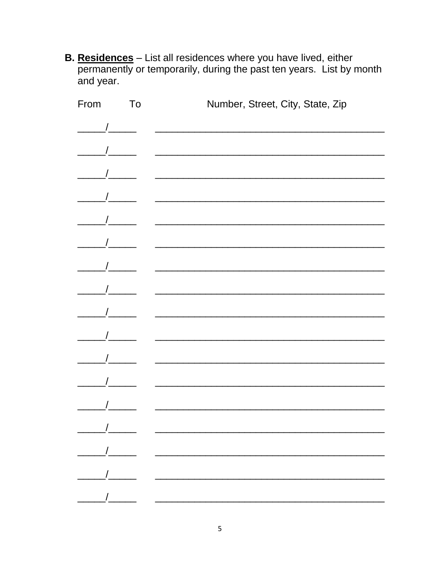B. Residences - List all residences where you have lived, either permanently or temporarily, during the past ten years. List by month and year.

| From                                                                         | To | Number, Street, City, State, Zip                                                                                                                                                                                                  |
|------------------------------------------------------------------------------|----|-----------------------------------------------------------------------------------------------------------------------------------------------------------------------------------------------------------------------------------|
| $\frac{1}{2}$                                                                |    | <u> 1980 - Jan James James Sandarík (f. 1980)</u>                                                                                                                                                                                 |
|                                                                              |    |                                                                                                                                                                                                                                   |
|                                                                              |    |                                                                                                                                                                                                                                   |
| $\frac{1}{\sqrt{1-\frac{1}{2}}}\left( \frac{1}{\sqrt{1-\frac{1}{2}}}\right)$ |    |                                                                                                                                                                                                                                   |
|                                                                              |    |                                                                                                                                                                                                                                   |
| $\frac{1}{\sqrt{1-\frac{1}{2}}}\int$                                         |    | <u> Alexandria de la contrada de la contrada de la contrada de la contrada de la contrada de la contrada de la c</u>                                                                                                              |
|                                                                              |    |                                                                                                                                                                                                                                   |
|                                                                              |    | <u> 1980 - Jan James James Barnett, fransk politik (d. 1980)</u>                                                                                                                                                                  |
| $\frac{1}{2}$                                                                |    |                                                                                                                                                                                                                                   |
|                                                                              |    |                                                                                                                                                                                                                                   |
|                                                                              |    | <u> 2000 - Jan James James James James James James James James James James James James James James James James J</u>                                                                                                              |
|                                                                              |    |                                                                                                                                                                                                                                   |
|                                                                              |    |                                                                                                                                                                                                                                   |
|                                                                              |    | <u> 2000 - Johann Johann Stoff, deutscher Stoffen und der Stoffen und der Stoffen und der Stoffen und der Stoffen</u>                                                                                                             |
|                                                                              |    | $\frac{1}{2}$ . The contract of the contract of the contract of the contract of the contract of the contract of the contract of the contract of the contract of the contract of the contract of the contract of the contract of t |
|                                                                              |    |                                                                                                                                                                                                                                   |
|                                                                              |    |                                                                                                                                                                                                                                   |
|                                                                              |    |                                                                                                                                                                                                                                   |
|                                                                              |    |                                                                                                                                                                                                                                   |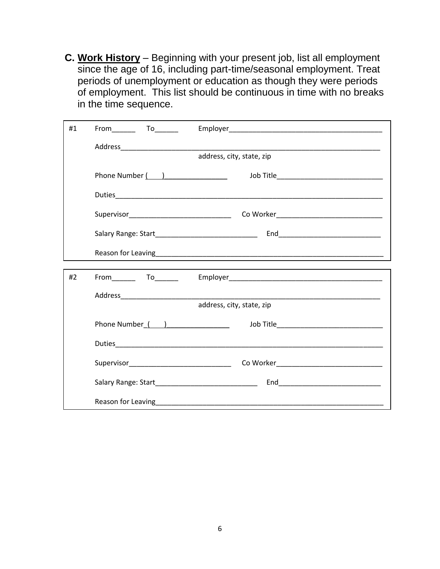**C. Work History** – Beginning with your present job, list all employment since the age of 16, including part-time/seasonal employment. Treat periods of unemployment or education as though they were periods of employment. This list should be continuous in time with no breaks in the time sequence.

| #1 | $From$ $To$ $To$ |                           |
|----|------------------|---------------------------|
|    |                  |                           |
|    |                  | address, city, state, zip |
|    | Phone Number ( ) |                           |
|    |                  |                           |
|    |                  |                           |
|    |                  |                           |
|    |                  |                           |
| #2 | $From$ $To$      |                           |
|    |                  |                           |
|    |                  | address, city, state, zip |
|    |                  |                           |
|    |                  |                           |
|    |                  |                           |
|    |                  |                           |
|    |                  |                           |
|    |                  |                           |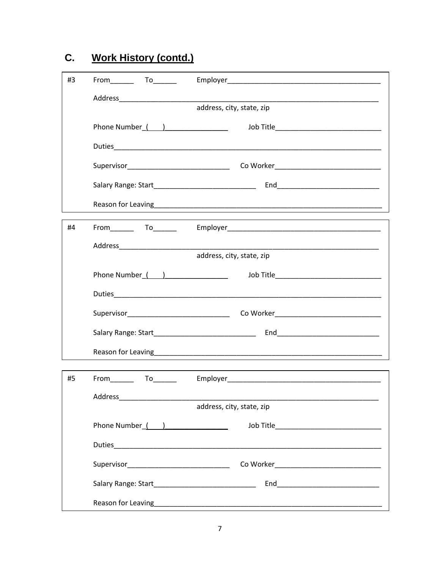| #3 | $From$ $To$ $To$                                        |                                              |
|----|---------------------------------------------------------|----------------------------------------------|
|    |                                                         |                                              |
|    |                                                         | address, city, state, zip                    |
|    |                                                         | Job Title___________________________________ |
|    |                                                         |                                              |
|    |                                                         |                                              |
|    |                                                         |                                              |
|    |                                                         |                                              |
| #4 |                                                         |                                              |
|    |                                                         |                                              |
|    |                                                         | address, city, state, zip                    |
|    | Phone Number ( )                                        | Job Title_________________________________   |
|    |                                                         |                                              |
|    |                                                         |                                              |
|    |                                                         |                                              |
|    |                                                         |                                              |
| #5 | From To To                                              |                                              |
|    | Address<br>the control of the control of the control of |                                              |
|    |                                                         | address, city, state, zip                    |
|    |                                                         | Job Title___________________________________ |
|    |                                                         |                                              |
|    |                                                         |                                              |
|    |                                                         |                                              |
|    |                                                         |                                              |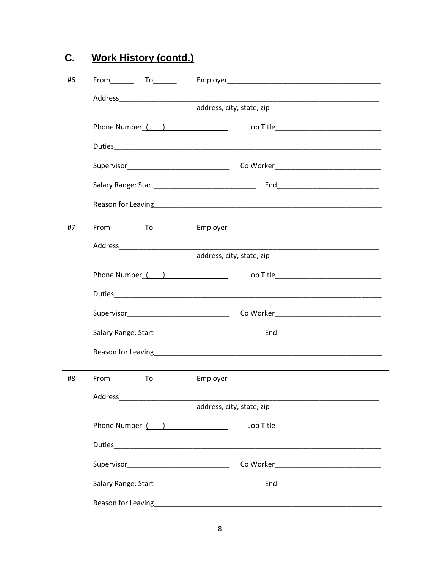| #6 | $From$ $To$ $To$                                                                                                                                                                                                                                                                                                                                                                                                                                                                                                                                                               |                                                          |
|----|--------------------------------------------------------------------------------------------------------------------------------------------------------------------------------------------------------------------------------------------------------------------------------------------------------------------------------------------------------------------------------------------------------------------------------------------------------------------------------------------------------------------------------------------------------------------------------|----------------------------------------------------------|
|    |                                                                                                                                                                                                                                                                                                                                                                                                                                                                                                                                                                                |                                                          |
|    |                                                                                                                                                                                                                                                                                                                                                                                                                                                                                                                                                                                | address, city, state, zip                                |
|    |                                                                                                                                                                                                                                                                                                                                                                                                                                                                                                                                                                                | Job Title___________________________________             |
|    |                                                                                                                                                                                                                                                                                                                                                                                                                                                                                                                                                                                |                                                          |
|    |                                                                                                                                                                                                                                                                                                                                                                                                                                                                                                                                                                                |                                                          |
|    |                                                                                                                                                                                                                                                                                                                                                                                                                                                                                                                                                                                |                                                          |
|    |                                                                                                                                                                                                                                                                                                                                                                                                                                                                                                                                                                                |                                                          |
| #7 |                                                                                                                                                                                                                                                                                                                                                                                                                                                                                                                                                                                |                                                          |
|    |                                                                                                                                                                                                                                                                                                                                                                                                                                                                                                                                                                                |                                                          |
|    |                                                                                                                                                                                                                                                                                                                                                                                                                                                                                                                                                                                | address, city, state, zip                                |
|    | Phone Number ( )                                                                                                                                                                                                                                                                                                                                                                                                                                                                                                                                                               | Job Title <b>Service Service Service Service Service</b> |
|    |                                                                                                                                                                                                                                                                                                                                                                                                                                                                                                                                                                                |                                                          |
|    |                                                                                                                                                                                                                                                                                                                                                                                                                                                                                                                                                                                |                                                          |
|    |                                                                                                                                                                                                                                                                                                                                                                                                                                                                                                                                                                                |                                                          |
|    |                                                                                                                                                                                                                                                                                                                                                                                                                                                                                                                                                                                |                                                          |
| #8 | $From \begin{tabular}{c} 2.5cm \end{tabular} \begin{tabular}{@{}c@{}} \quad {\footnotesize \begin{tabular}{@{}c@{}} \quad {\footnotesize \begin{tabular}{@{}c@{}} \quad {\footnotesize \begin{tabular}{@{}c@{}} \quad {\footnotesize \begin{tabular}{@{}c@{}} \quad {\footnotesize \begin{tabular}{@{}c@{}} \quad {\footnotesize \begin{tabular}{@{}c@{}} \quad {\footnotesize \begin{tabular}{@{}c@{}} \quad {\footnotesize \begin{tabular}{@{}c@{}} \quad {\footnotesize \begin{tabular}{@{}c@{}} \quad {\footnotesize \begin{tabular}{@{}c@{}} \quad {\footnotesize \begin$ |                                                          |
|    |                                                                                                                                                                                                                                                                                                                                                                                                                                                                                                                                                                                |                                                          |
|    |                                                                                                                                                                                                                                                                                                                                                                                                                                                                                                                                                                                | address, city, state, zip                                |
|    | Phone Number ( )                                                                                                                                                                                                                                                                                                                                                                                                                                                                                                                                                               |                                                          |
|    |                                                                                                                                                                                                                                                                                                                                                                                                                                                                                                                                                                                |                                                          |
|    |                                                                                                                                                                                                                                                                                                                                                                                                                                                                                                                                                                                |                                                          |
|    |                                                                                                                                                                                                                                                                                                                                                                                                                                                                                                                                                                                |                                                          |
|    |                                                                                                                                                                                                                                                                                                                                                                                                                                                                                                                                                                                |                                                          |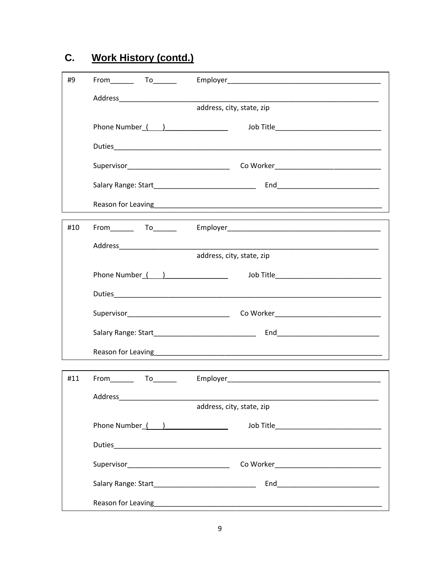| #9  | From To                                                                                                         |                                              |
|-----|-----------------------------------------------------------------------------------------------------------------|----------------------------------------------|
|     |                                                                                                                 |                                              |
|     |                                                                                                                 | address, city, state, zip                    |
|     |                                                                                                                 | Job Title___________________________________ |
|     |                                                                                                                 |                                              |
|     |                                                                                                                 |                                              |
|     |                                                                                                                 |                                              |
|     |                                                                                                                 |                                              |
| #10 |                                                                                                                 |                                              |
|     |                                                                                                                 |                                              |
|     |                                                                                                                 | address, city, state, zip                    |
|     | Phone Number ( )                                                                                                |                                              |
|     |                                                                                                                 |                                              |
|     |                                                                                                                 |                                              |
|     |                                                                                                                 |                                              |
|     |                                                                                                                 |                                              |
| #11 | From To To                                                                                                      |                                              |
|     | Address Andreas Address Address Andreas Andreas Andreas Andreas Andreas Andreas Andreas Andreas Andreas Andreas |                                              |
|     |                                                                                                                 | address, city, state, zip                    |
|     | Phone Number ( )                                                                                                |                                              |
|     |                                                                                                                 |                                              |
|     |                                                                                                                 |                                              |
|     |                                                                                                                 |                                              |
|     |                                                                                                                 |                                              |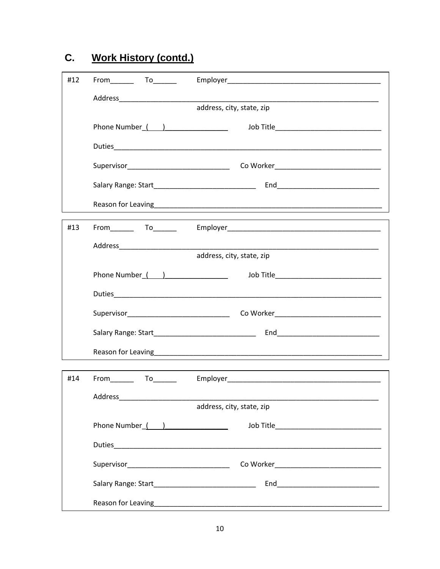| #12 | $From$ $To$ $To$                                         |                                                                                                                                                                                                                                |
|-----|----------------------------------------------------------|--------------------------------------------------------------------------------------------------------------------------------------------------------------------------------------------------------------------------------|
|     |                                                          |                                                                                                                                                                                                                                |
|     |                                                          | address, city, state, zip                                                                                                                                                                                                      |
|     |                                                          |                                                                                                                                                                                                                                |
|     |                                                          |                                                                                                                                                                                                                                |
|     |                                                          |                                                                                                                                                                                                                                |
|     |                                                          |                                                                                                                                                                                                                                |
|     |                                                          |                                                                                                                                                                                                                                |
| #13 |                                                          |                                                                                                                                                                                                                                |
|     |                                                          |                                                                                                                                                                                                                                |
|     |                                                          | address, city, state, zip                                                                                                                                                                                                      |
|     | Phone Number ( )                                         |                                                                                                                                                                                                                                |
|     |                                                          |                                                                                                                                                                                                                                |
|     |                                                          |                                                                                                                                                                                                                                |
|     |                                                          |                                                                                                                                                                                                                                |
|     |                                                          |                                                                                                                                                                                                                                |
| #14 | From To To                                               | Employer and the contract of the contract of the contract of the contract of the contract of the contract of the contract of the contract of the contract of the contract of the contract of the contract of the contract of t |
|     | Address_<br>the control of the control of the control of |                                                                                                                                                                                                                                |
|     |                                                          | address, city, state, zip                                                                                                                                                                                                      |
|     |                                                          | Job Title___________________________________                                                                                                                                                                                   |
|     |                                                          |                                                                                                                                                                                                                                |
|     |                                                          |                                                                                                                                                                                                                                |
|     |                                                          |                                                                                                                                                                                                                                |
|     |                                                          |                                                                                                                                                                                                                                |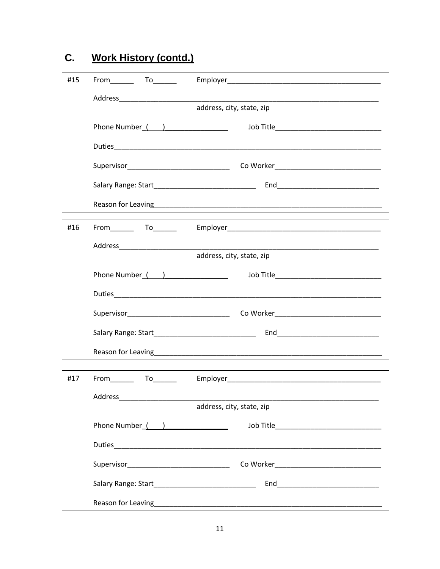| #15 | $From$ $To$                                                                                                     |                                            |
|-----|-----------------------------------------------------------------------------------------------------------------|--------------------------------------------|
|     |                                                                                                                 |                                            |
|     |                                                                                                                 | address, city, state, zip                  |
|     |                                                                                                                 |                                            |
|     |                                                                                                                 |                                            |
|     |                                                                                                                 |                                            |
|     |                                                                                                                 |                                            |
|     |                                                                                                                 |                                            |
| #16 |                                                                                                                 |                                            |
|     |                                                                                                                 |                                            |
|     |                                                                                                                 | address, city, state, zip                  |
|     | Phone Number ( )                                                                                                | Job Title_________________________________ |
|     |                                                                                                                 |                                            |
|     |                                                                                                                 |                                            |
|     |                                                                                                                 |                                            |
|     |                                                                                                                 |                                            |
| #17 | From To To                                                                                                      |                                            |
|     | Address Andreas Address Address Andreas Andreas Andreas Andreas Andreas Andreas Andreas Andreas Andreas Andreas |                                            |
|     |                                                                                                                 | address, city, state, zip                  |
|     | Phone Number ( )                                                                                                |                                            |
|     |                                                                                                                 |                                            |
|     |                                                                                                                 |                                            |
|     |                                                                                                                 |                                            |
|     |                                                                                                                 |                                            |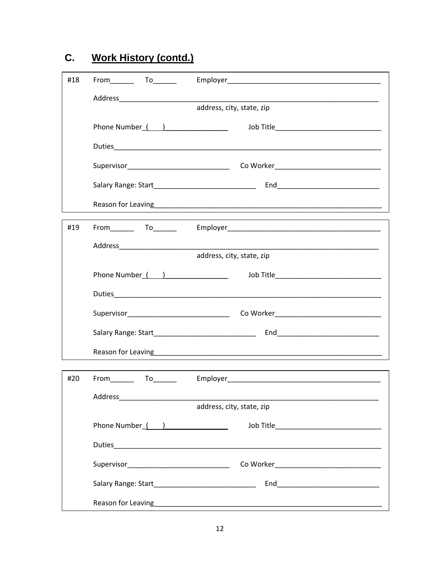| #18 | $From$ $To$                                                                                                     |                                            |
|-----|-----------------------------------------------------------------------------------------------------------------|--------------------------------------------|
|     |                                                                                                                 |                                            |
|     |                                                                                                                 | address, city, state, zip                  |
|     |                                                                                                                 | Job Title_________________________________ |
|     |                                                                                                                 |                                            |
|     |                                                                                                                 |                                            |
|     |                                                                                                                 |                                            |
|     |                                                                                                                 |                                            |
| #19 |                                                                                                                 |                                            |
|     |                                                                                                                 |                                            |
|     |                                                                                                                 | address, city, state, zip                  |
|     | Phone Number ( )                                                                                                | Job Title_________________________________ |
|     |                                                                                                                 |                                            |
|     |                                                                                                                 |                                            |
|     |                                                                                                                 |                                            |
|     |                                                                                                                 |                                            |
| #20 | From To To                                                                                                      |                                            |
|     | Address Andreas Address Address Andreas Andreas Andreas Andreas Andreas Andreas Andreas Andreas Andreas Andreas |                                            |
|     |                                                                                                                 | address, city, state, zip                  |
|     | Phone Number ( )                                                                                                |                                            |
|     |                                                                                                                 |                                            |
|     |                                                                                                                 |                                            |
|     |                                                                                                                 |                                            |
|     |                                                                                                                 |                                            |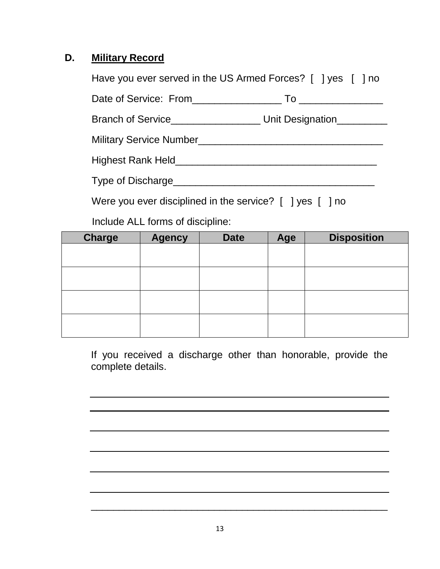#### **D. Military Record**

|                                                                                                                                                                                                                                     | Have you ever served in the US Armed Forces? [ ] yes [ ] no                 |
|-------------------------------------------------------------------------------------------------------------------------------------------------------------------------------------------------------------------------------------|-----------------------------------------------------------------------------|
|                                                                                                                                                                                                                                     |                                                                             |
|                                                                                                                                                                                                                                     | Branch of Service____________________________ Unit Designation_____________ |
|                                                                                                                                                                                                                                     |                                                                             |
| Highest Rank Held <b>Expansion Control Control</b> Property and Control Control Control Control Control Control Control Control Control Control Control Control Control Control Control Control Control Control Control Control Con |                                                                             |
| Type of Discharge <b>Example 2018</b>                                                                                                                                                                                               |                                                                             |
| Were you ever disciplined in the service? [ ] yes [ ] no                                                                                                                                                                            |                                                                             |

Include ALL forms of discipline:

| <b>Charge</b> | <b>Agency</b> | <b>Date</b> | Age | <b>Disposition</b> |
|---------------|---------------|-------------|-----|--------------------|
|               |               |             |     |                    |
|               |               |             |     |                    |
|               |               |             |     |                    |
|               |               |             |     |                    |
|               |               |             |     |                    |
|               |               |             |     |                    |
|               |               |             |     |                    |
|               |               |             |     |                    |

If you received a discharge other than honorable, provide the complete details.

\_\_\_\_\_\_\_\_\_\_\_\_\_\_\_\_\_\_\_\_\_\_\_\_\_\_\_\_\_\_\_\_\_\_\_\_\_\_\_\_\_\_\_\_\_\_\_\_\_\_\_\_\_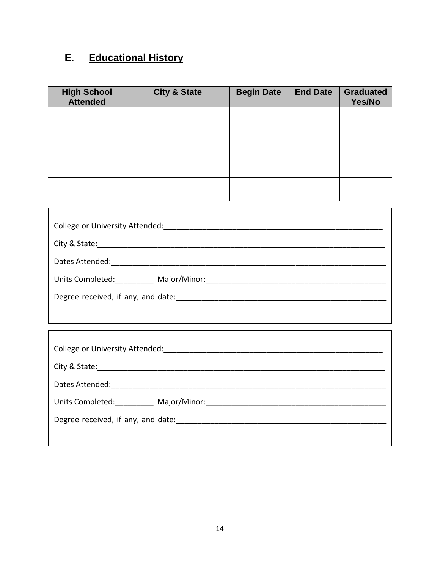## **E. Educational History**

| <b>High School</b><br><b>Attended</b> | <b>City &amp; State</b> | <b>Begin Date</b> | <b>End Date</b> | <b>Graduated</b><br>Yes/No |
|---------------------------------------|-------------------------|-------------------|-----------------|----------------------------|
|                                       |                         |                   |                 |                            |
|                                       |                         |                   |                 |                            |
|                                       |                         |                   |                 |                            |
|                                       |                         |                   |                 |                            |

| College or University Attended:    |  |  |
|------------------------------------|--|--|
|                                    |  |  |
| Dates Attended:                    |  |  |
| Units Completed: Major/Minor:      |  |  |
| Degree received, if any, and date: |  |  |
|                                    |  |  |

| College or University Attended:    |  |  |  |  |
|------------------------------------|--|--|--|--|
|                                    |  |  |  |  |
| Dates Attended:                    |  |  |  |  |
| Units Completed: Major/Minor:      |  |  |  |  |
| Degree received, if any, and date: |  |  |  |  |
|                                    |  |  |  |  |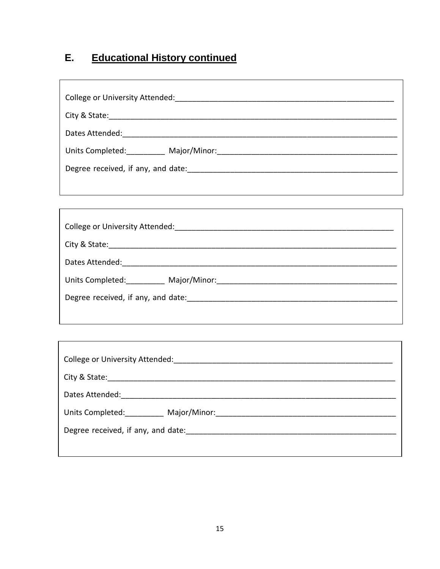#### **Educational History continued** E.

| College or University Attended:    |  |  |  |  |  |
|------------------------------------|--|--|--|--|--|
|                                    |  |  |  |  |  |
| Dates Attended:                    |  |  |  |  |  |
| Units Completed: Major/Minor:      |  |  |  |  |  |
| Degree received, if any, and date: |  |  |  |  |  |

| College or University Attended:    |  |  |  |  |
|------------------------------------|--|--|--|--|
| City & State:                      |  |  |  |  |
| Dates Attended:                    |  |  |  |  |
| Units Completed: Major/Minor:      |  |  |  |  |
| Degree received, if any, and date: |  |  |  |  |
|                                    |  |  |  |  |

| College or University Attended:                                                                                                                                                                                                |  |  |  |  |
|--------------------------------------------------------------------------------------------------------------------------------------------------------------------------------------------------------------------------------|--|--|--|--|
|                                                                                                                                                                                                                                |  |  |  |  |
| Dates Attended: The Contract of the Contract of the Contract of the Contract of the Contract of the Contract of the Contract of the Contract of the Contract of the Contract of the Contract of the Contract of the Contract o |  |  |  |  |
| Units Completed: Major/Minor: Major / Major / Minor:                                                                                                                                                                           |  |  |  |  |
| Degree received, if any, and date:                                                                                                                                                                                             |  |  |  |  |
|                                                                                                                                                                                                                                |  |  |  |  |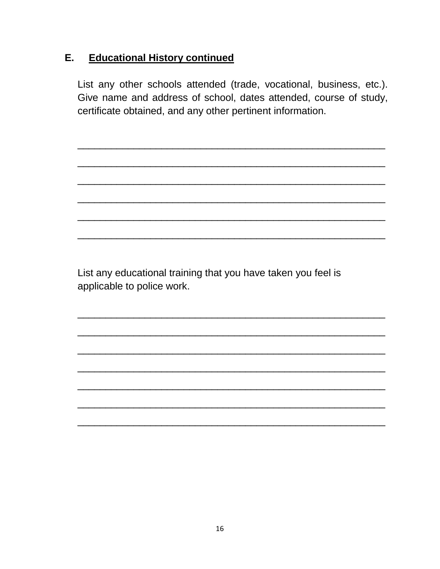#### **Educational History continued** E.

List any other schools attended (trade, vocational, business, etc.). Give name and address of school, dates attended, course of study, certificate obtained, and any other pertinent information.

List any educational training that you have taken you feel is applicable to police work.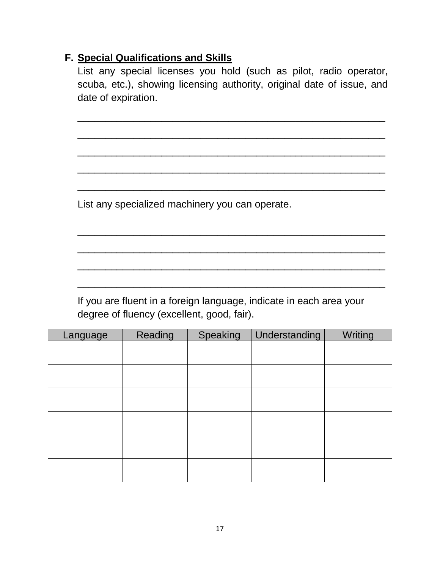#### **F. Special Qualifications and Skills**

List any special licenses you hold (such as pilot, radio operator, scuba, etc.), showing licensing authority, original date of issue, and date of expiration.

\_\_\_\_\_\_\_\_\_\_\_\_\_\_\_\_\_\_\_\_\_\_\_\_\_\_\_\_\_\_\_\_\_\_\_\_\_\_\_\_\_\_\_\_\_\_\_\_\_\_\_\_\_\_\_

\_\_\_\_\_\_\_\_\_\_\_\_\_\_\_\_\_\_\_\_\_\_\_\_\_\_\_\_\_\_\_\_\_\_\_\_\_\_\_\_\_\_\_\_\_\_\_\_\_\_\_\_\_\_\_

\_\_\_\_\_\_\_\_\_\_\_\_\_\_\_\_\_\_\_\_\_\_\_\_\_\_\_\_\_\_\_\_\_\_\_\_\_\_\_\_\_\_\_\_\_\_\_\_\_\_\_\_\_\_\_

\_\_\_\_\_\_\_\_\_\_\_\_\_\_\_\_\_\_\_\_\_\_\_\_\_\_\_\_\_\_\_\_\_\_\_\_\_\_\_\_\_\_\_\_\_\_\_\_\_\_\_\_\_\_\_

\_\_\_\_\_\_\_\_\_\_\_\_\_\_\_\_\_\_\_\_\_\_\_\_\_\_\_\_\_\_\_\_\_\_\_\_\_\_\_\_\_\_\_\_\_\_\_\_\_\_\_\_\_\_\_

\_\_\_\_\_\_\_\_\_\_\_\_\_\_\_\_\_\_\_\_\_\_\_\_\_\_\_\_\_\_\_\_\_\_\_\_\_\_\_\_\_\_\_\_\_\_\_\_\_\_\_\_\_\_\_

\_\_\_\_\_\_\_\_\_\_\_\_\_\_\_\_\_\_\_\_\_\_\_\_\_\_\_\_\_\_\_\_\_\_\_\_\_\_\_\_\_\_\_\_\_\_\_\_\_\_\_\_\_\_\_

\_\_\_\_\_\_\_\_\_\_\_\_\_\_\_\_\_\_\_\_\_\_\_\_\_\_\_\_\_\_\_\_\_\_\_\_\_\_\_\_\_\_\_\_\_\_\_\_\_\_\_\_\_\_\_

\_\_\_\_\_\_\_\_\_\_\_\_\_\_\_\_\_\_\_\_\_\_\_\_\_\_\_\_\_\_\_\_\_\_\_\_\_\_\_\_\_\_\_\_\_\_\_\_\_\_\_\_\_\_\_

List any specialized machinery you can operate.

If you are fluent in a foreign language, indicate in each area your degree of fluency (excellent, good, fair).

| Language | Reading | Speaking | Understanding | Writing |
|----------|---------|----------|---------------|---------|
|          |         |          |               |         |
|          |         |          |               |         |
|          |         |          |               |         |
|          |         |          |               |         |
|          |         |          |               |         |
|          |         |          |               |         |
|          |         |          |               |         |
|          |         |          |               |         |
|          |         |          |               |         |
|          |         |          |               |         |
|          |         |          |               |         |
|          |         |          |               |         |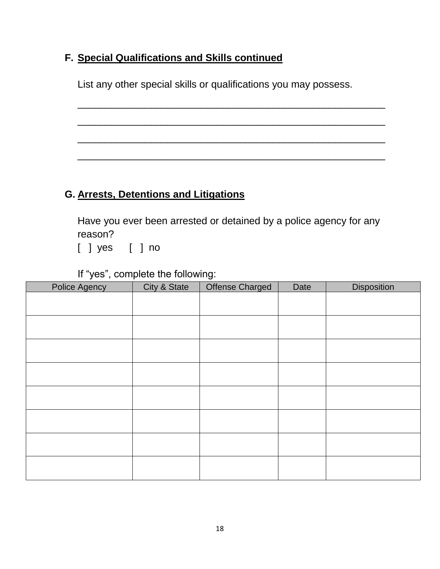### **F. Special Qualifications and Skills continued**

List any other special skills or qualifications you may possess.

\_\_\_\_\_\_\_\_\_\_\_\_\_\_\_\_\_\_\_\_\_\_\_\_\_\_\_\_\_\_\_\_\_\_\_\_\_\_\_\_\_\_\_\_\_\_\_\_\_\_\_\_\_\_\_

\_\_\_\_\_\_\_\_\_\_\_\_\_\_\_\_\_\_\_\_\_\_\_\_\_\_\_\_\_\_\_\_\_\_\_\_\_\_\_\_\_\_\_\_\_\_\_\_\_\_\_\_\_\_\_

\_\_\_\_\_\_\_\_\_\_\_\_\_\_\_\_\_\_\_\_\_\_\_\_\_\_\_\_\_\_\_\_\_\_\_\_\_\_\_\_\_\_\_\_\_\_\_\_\_\_\_\_\_\_\_

\_\_\_\_\_\_\_\_\_\_\_\_\_\_\_\_\_\_\_\_\_\_\_\_\_\_\_\_\_\_\_\_\_\_\_\_\_\_\_\_\_\_\_\_\_\_\_\_\_\_\_\_\_\_\_

### **G. Arrests, Detentions and Litigations**

Have you ever been arrested or detained by a police agency for any reason?

[ ] yes [ ] no

If "yes", complete the following:

| <b>Police Agency</b> | City & State | <b>Offense Charged</b> | Date | <b>Disposition</b> |
|----------------------|--------------|------------------------|------|--------------------|
|                      |              |                        |      |                    |
|                      |              |                        |      |                    |
|                      |              |                        |      |                    |
|                      |              |                        |      |                    |
|                      |              |                        |      |                    |
|                      |              |                        |      |                    |
|                      |              |                        |      |                    |
|                      |              |                        |      |                    |
|                      |              |                        |      |                    |
|                      |              |                        |      |                    |
|                      |              |                        |      |                    |
|                      |              |                        |      |                    |
|                      |              |                        |      |                    |
|                      |              |                        |      |                    |
|                      |              |                        |      |                    |
|                      |              |                        |      |                    |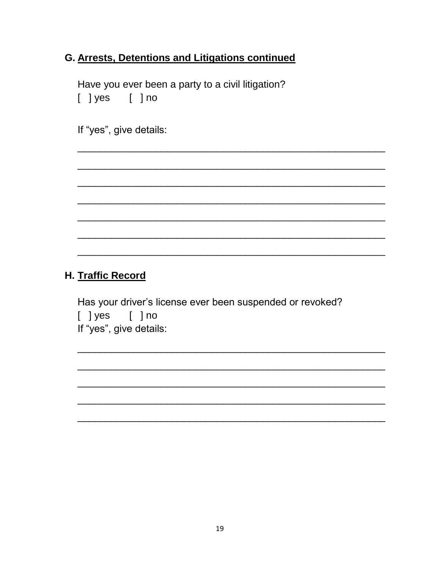### G. Arrests, Detentions and Litigations continued

Have you ever been a party to a civil litigation?  $[$  ] yes  $[$  ] no

If "yes", give details:

#### H. Traffic Record

Has your driver's license ever been suspended or revoked? [ ]yes [ ]no If "yes", give details: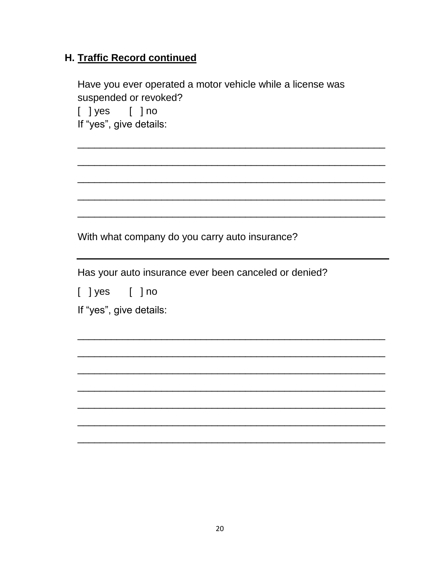### H. Traffic Record continued

Have you ever operated a motor vehicle while a license was suspended or revoked?

 $[$  ] yes  $[$  ] no If "yes", give details:

With what company do you carry auto insurance?

Has your auto insurance ever been canceled or denied?

 $[$  ] yes  $[$  ] no

If "yes", give details: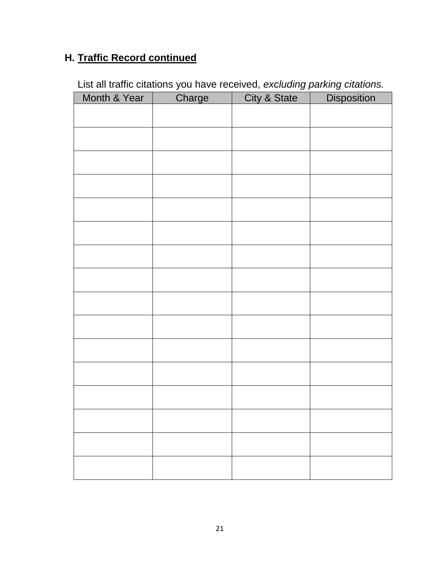## **H. Traffic Record continued**

| List all traffic citations you have received, excluding parking citations. |  |  |  |
|----------------------------------------------------------------------------|--|--|--|
|                                                                            |  |  |  |

| Month & Year | Charge | City & State | <b>Disposition</b> |
|--------------|--------|--------------|--------------------|
|              |        |              |                    |
|              |        |              |                    |
|              |        |              |                    |
|              |        |              |                    |
|              |        |              |                    |
|              |        |              |                    |
|              |        |              |                    |
|              |        |              |                    |
|              |        |              |                    |
|              |        |              |                    |
|              |        |              |                    |
|              |        |              |                    |
|              |        |              |                    |
|              |        |              |                    |
|              |        |              |                    |
|              |        |              |                    |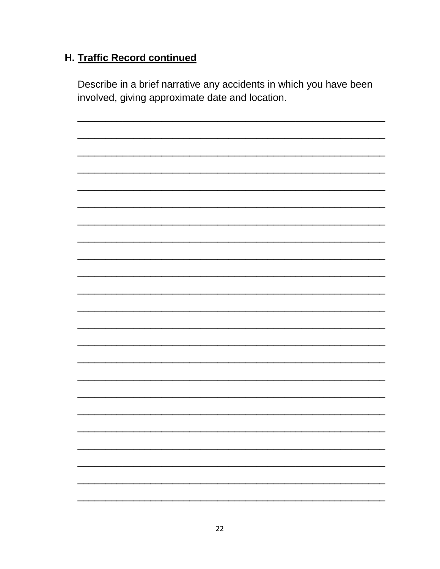### H. Traffic Record continued

Describe in a brief narrative any accidents in which you have been involved, giving approximate date and location.

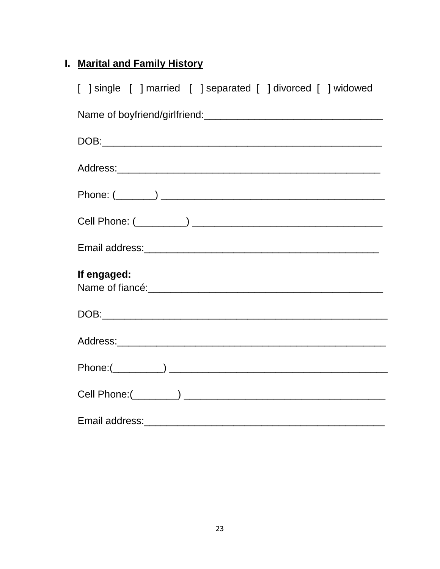## I. Marital and Family History

| [ ] single [ ] married [ ] separated [ ] divorced [ ] widowed                                                                                                                                                                  |
|--------------------------------------------------------------------------------------------------------------------------------------------------------------------------------------------------------------------------------|
|                                                                                                                                                                                                                                |
|                                                                                                                                                                                                                                |
|                                                                                                                                                                                                                                |
|                                                                                                                                                                                                                                |
|                                                                                                                                                                                                                                |
|                                                                                                                                                                                                                                |
| If engaged:                                                                                                                                                                                                                    |
|                                                                                                                                                                                                                                |
|                                                                                                                                                                                                                                |
|                                                                                                                                                                                                                                |
|                                                                                                                                                                                                                                |
| Email address: Email and The Termin and Termin and Termin and Termin and Termin and Termin and Termin and Termin and Termin and Termin and Termin and Termin and Termin and Termin and Termin and Termin and Termin and Termin |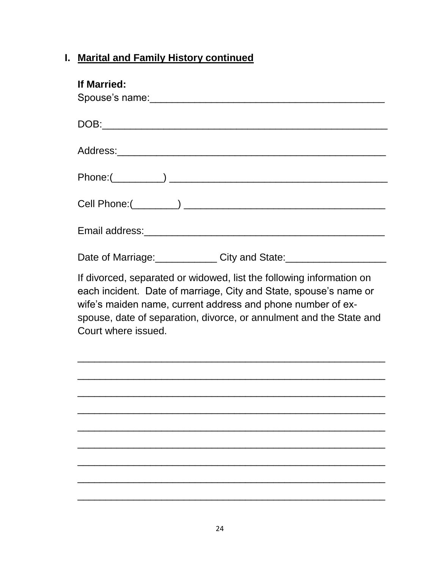| <b>If Married:</b>                                                                                                                                                                                                                                                                                     |  |  |  |  |
|--------------------------------------------------------------------------------------------------------------------------------------------------------------------------------------------------------------------------------------------------------------------------------------------------------|--|--|--|--|
|                                                                                                                                                                                                                                                                                                        |  |  |  |  |
|                                                                                                                                                                                                                                                                                                        |  |  |  |  |
|                                                                                                                                                                                                                                                                                                        |  |  |  |  |
|                                                                                                                                                                                                                                                                                                        |  |  |  |  |
|                                                                                                                                                                                                                                                                                                        |  |  |  |  |
| Date of Marriage: City and State: 2010 Marriagn Date of Marriage:                                                                                                                                                                                                                                      |  |  |  |  |
| If divorced, separated or widowed, list the following information on<br>each incident. Date of marriage, City and State, spouse's name or<br>wife's maiden name, current address and phone number of ex-<br>spouse, date of separation, divorce, or annulment and the State and<br>Court where issued. |  |  |  |  |
|                                                                                                                                                                                                                                                                                                        |  |  |  |  |
|                                                                                                                                                                                                                                                                                                        |  |  |  |  |
|                                                                                                                                                                                                                                                                                                        |  |  |  |  |
|                                                                                                                                                                                                                                                                                                        |  |  |  |  |
|                                                                                                                                                                                                                                                                                                        |  |  |  |  |
|                                                                                                                                                                                                                                                                                                        |  |  |  |  |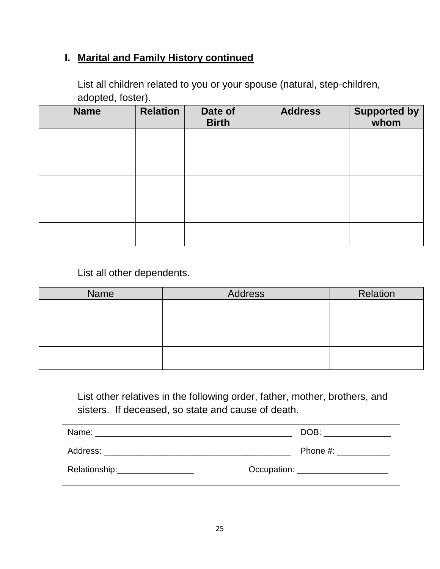List all children related to you or your spouse (natural, step-children, adopted, foster).

| <b>Name</b> | <b>Relation</b> | Date of<br><b>Birth</b> | <b>Address</b> | Supported by<br>whom |
|-------------|-----------------|-------------------------|----------------|----------------------|
|             |                 |                         |                |                      |
|             |                 |                         |                |                      |
|             |                 |                         |                |                      |
|             |                 |                         |                |                      |
|             |                 |                         |                |                      |

List all other dependents.

| Name | <b>Address</b> | Relation |
|------|----------------|----------|
|      |                |          |
|      |                |          |
|      |                |          |
|      |                |          |
|      |                |          |
|      |                |          |

List other relatives in the following order, father, mother, brothers, and sisters. If deceased, so state and cause of death.

|                                                                                                                                                                                                                               | DOB: ________________ |
|-------------------------------------------------------------------------------------------------------------------------------------------------------------------------------------------------------------------------------|-----------------------|
| Address: Analysis and the second state of the second state of the second state of the second state of the second state of the second state of the second state of the second state of the second state of the second state of | Phone #:              |
| Relationship: Network of the Relationship:                                                                                                                                                                                    |                       |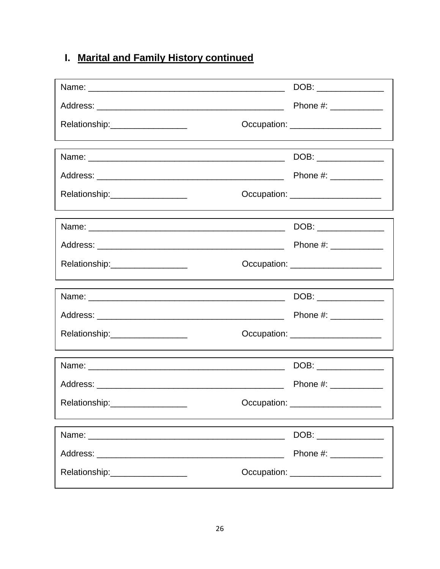|                                                                    | DOB: _______________                |
|--------------------------------------------------------------------|-------------------------------------|
|                                                                    | Phone #: ____________               |
| Relationship:_________________                                     | Occupation: _____________________   |
|                                                                    |                                     |
|                                                                    |                                     |
|                                                                    | Phone #: ____________               |
| Relationship:___________________                                   | Occupation: _____________________   |
|                                                                    |                                     |
|                                                                    |                                     |
| Relationship:__________________                                    | Occupation: ______________________  |
|                                                                    |                                     |
|                                                                    |                                     |
| Relationship:_________________                                     | Occupation: _____________________   |
|                                                                    | DOB: _____________                  |
|                                                                    | Phone #: ____________               |
| Relationship:<br><u> 1989 - Johann Barn, mars et al. (b. 1989)</u> | Occupation: _______________________ |
|                                                                    | DOB:                                |
|                                                                    | Phone #: ____________               |
| Relationship:___________________                                   | Occupation: _____________________   |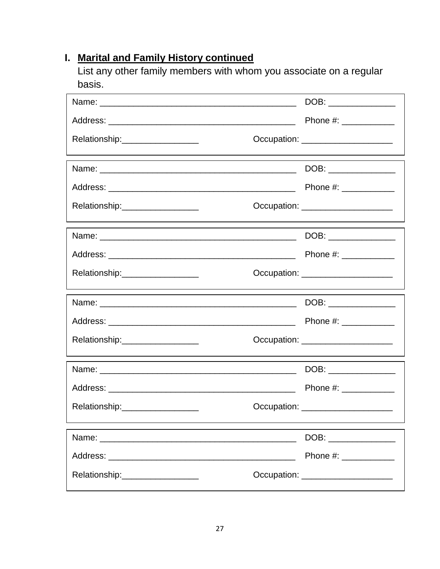List any other family members with whom you associate on a regular basis.

|                                 | DOB: ______________                         |
|---------------------------------|---------------------------------------------|
|                                 | Phone #: ____________                       |
| Relationship:__________________ | Occupation: _______________________         |
|                                 | DOB: ________________                       |
|                                 | Phone #: ___________                        |
| Relationship:__________________ | Occupation: <u>_____________________</u>    |
|                                 | DOB: ______________                         |
|                                 | Phone #: ____________                       |
| Relationship:__________________ | Occupation: ________________________        |
|                                 | DOB: _______________                        |
|                                 | Phone #: ____________                       |
| Relationship:__________________ | Occupation: _____________________           |
|                                 | DOB: ______________                         |
|                                 | Phone #: $\frac{1}{2}$ Phone #:             |
| Relationship:__________________ | Occupation: <u>________________________</u> |
|                                 | DOB: _______________                        |
|                                 | Phone #: ____________                       |
| Relationship:__________________ | Occupation: ______________________          |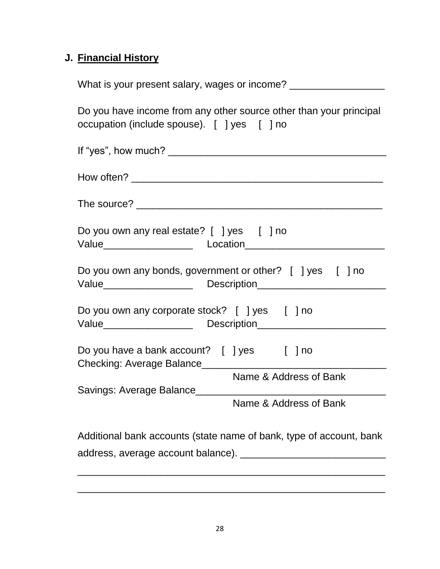### **J. Financial History**

| What is your present salary, wages or income? ___________________                                                                                                                   |
|-------------------------------------------------------------------------------------------------------------------------------------------------------------------------------------|
| Do you have income from any other source other than your principal<br>occupation (include spouse). [ ] yes [ ] no                                                                   |
|                                                                                                                                                                                     |
|                                                                                                                                                                                     |
|                                                                                                                                                                                     |
| Do you own any real estate? [ ] yes [ ] no                                                                                                                                          |
| Do you own any bonds, government or other? [ ] yes [ ] no                                                                                                                           |
| Do you own any corporate stock? [ ] yes [ ] no                                                                                                                                      |
| Do you have a bank account? [ ] yes [ ] no<br>Checking: Average Balance_____                                                                                                        |
| Name & Address of Bank                                                                                                                                                              |
| Savings: Average Balance<br><u> 1989 - Johann John Stone, mars et al. 1989 - John Stone, mars et al. 1989 - John Stone, mars et al. 1989 - John Stone</u><br>Name & Address of Bank |
| Additional bank accounts (state name of bank, type of account, bank                                                                                                                 |

\_\_\_\_\_\_\_\_\_\_\_\_\_\_\_\_\_\_\_\_\_\_\_\_\_\_\_\_\_\_\_\_\_\_\_\_\_\_\_\_\_\_\_\_\_\_\_\_\_\_\_\_\_\_\_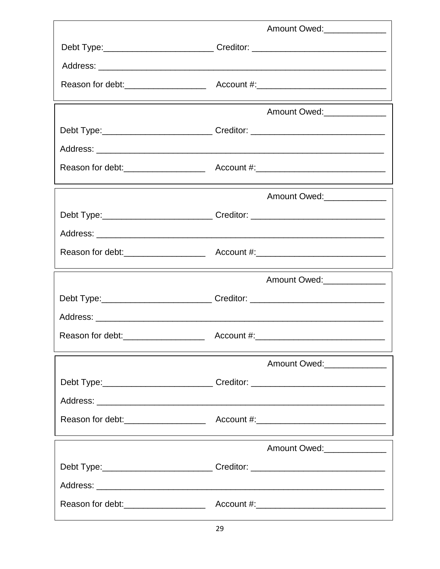| Amount Owed:                                                                     |
|----------------------------------------------------------------------------------|
| Debt Type:_____________________________Creditor: _______________________________ |
|                                                                                  |
|                                                                                  |
| Amount Owed:______________                                                       |
| Debt Type: _________________________________Creditor: __________________________ |
|                                                                                  |
|                                                                                  |
| Amount Owed:                                                                     |
| Debt Type:_______________________________Creditor: _____________________________ |
|                                                                                  |
|                                                                                  |
|                                                                                  |
| Amount Owed:______________                                                       |
| Debt Type:_____________________________Creditor: _______________________________ |
|                                                                                  |
|                                                                                  |
| Amount Owed:________________                                                     |
| Debt Type:________________________________Creditor: ____________________________ |
|                                                                                  |
|                                                                                  |
| Amount Owed:_____________                                                        |
| Debt Type: ________________________________Creditor: ___________________________ |
|                                                                                  |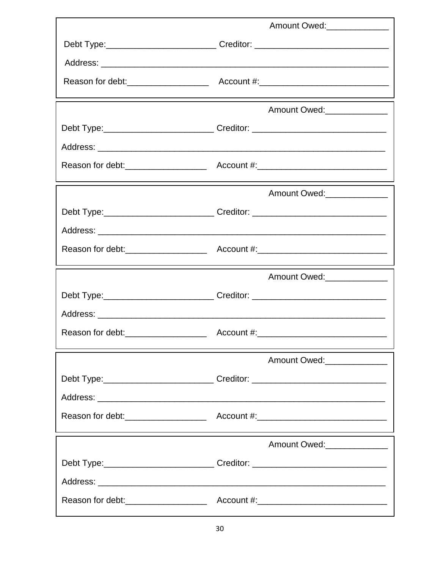| Amount Owed:______________                                                       |
|----------------------------------------------------------------------------------|
| Debt Type:______________________________Creditor: ______________________________ |
|                                                                                  |
|                                                                                  |
| Amount Owed:______________                                                       |
| Debt Type:______________________________Creditor: ______________________________ |
|                                                                                  |
|                                                                                  |
| Amount Owed:                                                                     |
| Debt Type:_________________________________Creditor: ___________________________ |
|                                                                                  |
|                                                                                  |
| Amount Owed:_______________                                                      |
| Debt Type: _____________________________Creditor: ______________________________ |
|                                                                                  |
|                                                                                  |
| Amount Owed:______________                                                       |
| Debt Type:_____________________________Creditor: _______________________________ |
|                                                                                  |
|                                                                                  |
| Amount Owed:                                                                     |
| Debt Type:______________________________Creditor: ______________________________ |
|                                                                                  |
|                                                                                  |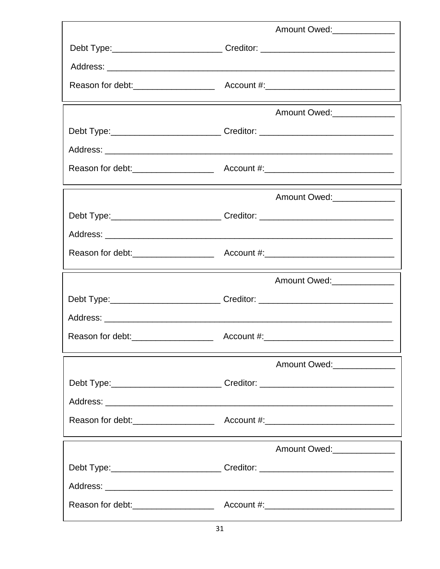| Amount Owed:______________                                                       |
|----------------------------------------------------------------------------------|
| Debt Type:___________________________________Creditor: _________________________ |
|                                                                                  |
|                                                                                  |
| Amount Owed:______________                                                       |
| Debt Type:______________________________Creditor: ______________________________ |
|                                                                                  |
|                                                                                  |
| Amount Owed:_______________                                                      |
| Debt Type:_______________________________Creditor: _____________________________ |
|                                                                                  |
|                                                                                  |
| Amount Owed:______________                                                       |
| Debt Type:_____________________________Creditor: _______________________________ |
|                                                                                  |
|                                                                                  |
| Amount Owed:________________                                                     |
| Debt Type:______________________________Creditor: ______________________________ |
|                                                                                  |
|                                                                                  |
| Amount Owed: ______________                                                      |
| Debt Type:______________________________Creditor: ______________________________ |
|                                                                                  |
|                                                                                  |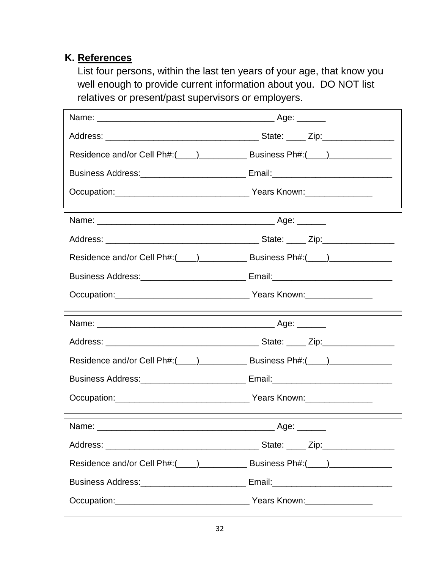## **K. References**

List four persons, within the last ten years of your age, that know you well enough to provide current information about you. DO NOT list relatives or present/past supervisors or employers.

| Occupation: Communication of Manuscriptic Vears Known: |  |
|--------------------------------------------------------|--|
|                                                        |  |
|                                                        |  |
|                                                        |  |
|                                                        |  |
|                                                        |  |
|                                                        |  |
|                                                        |  |
|                                                        |  |
|                                                        |  |
|                                                        |  |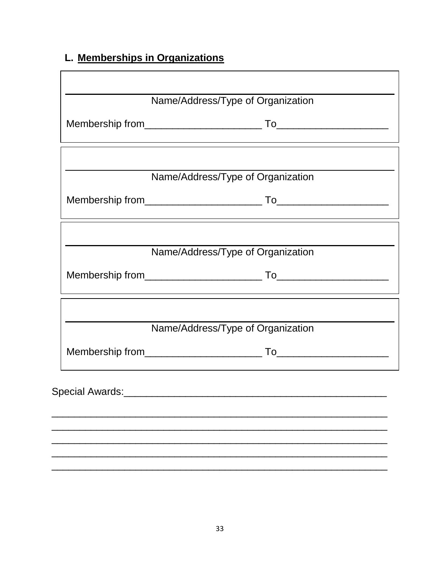# L. Memberships in Organizations

|                 | Name/Address/Type of Organization                                                |
|-----------------|----------------------------------------------------------------------------------|
|                 |                                                                                  |
|                 | Name/Address/Type of Organization                                                |
|                 | ,我们也不会有什么。""我们的人,我们也不会有什么?""我们的人,我们也不会有什么?""我们的人,我们也不会有什么?""我们的人,我们也不会有什么?""我们的人 |
|                 | Name/Address/Type of Organization                                                |
|                 |                                                                                  |
|                 | Name/Address/Type of Organization                                                |
|                 |                                                                                  |
| Special Awards: |                                                                                  |
|                 |                                                                                  |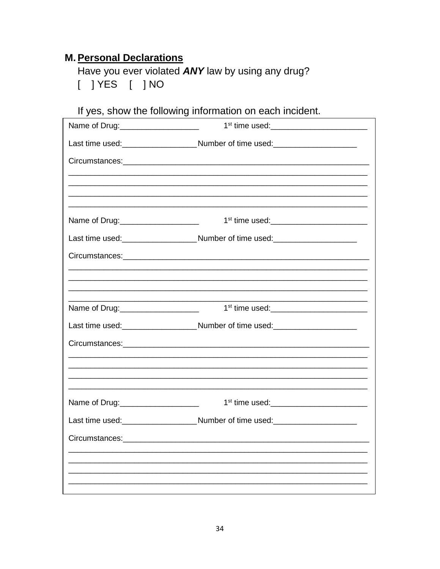### **M. Personal Declarations**

Have you ever violated ANY law by using any drug? 

| If yes, show the following information on each incluent. |                                                                                                                                                                      |  |  |  |
|----------------------------------------------------------|----------------------------------------------------------------------------------------------------------------------------------------------------------------------|--|--|--|
|                                                          |                                                                                                                                                                      |  |  |  |
|                                                          | Last time used: _____________________________Number of time used: _______________                                                                                    |  |  |  |
|                                                          |                                                                                                                                                                      |  |  |  |
|                                                          |                                                                                                                                                                      |  |  |  |
|                                                          |                                                                                                                                                                      |  |  |  |
| Name of Drug: _____________________                      | 1 <sup>st</sup> time used:__________________________                                                                                                                 |  |  |  |
|                                                          | Last time used:_______________________Number of time used:______________________                                                                                     |  |  |  |
|                                                          |                                                                                                                                                                      |  |  |  |
|                                                          |                                                                                                                                                                      |  |  |  |
|                                                          |                                                                                                                                                                      |  |  |  |
| Name of Drug: ______________________                     | 1 <sup>st</sup> time used: ___________________________                                                                                                               |  |  |  |
|                                                          | Last time used:___________________________Number of time used:__________________                                                                                     |  |  |  |
|                                                          |                                                                                                                                                                      |  |  |  |
|                                                          | ,我们就会在这里的人,我们就会在这里的人,我们就会在这里的人,我们就会在这里,我们就会在这里的人,我们就会在这里的人,我们就会在这里的人,我们就会在这里的人,我<br>第251章 我们的人,我们就会在这里的人,我们就会在这里的人,我们就会在这里的人,我们就会在这里的人,我们就会在这里的人,我们就会在这里的人,我们就会在这里,我 |  |  |  |
|                                                          |                                                                                                                                                                      |  |  |  |
| Name of Drug: _____________________                      | 1 <sup>st</sup> time used: _____________________________                                                                                                             |  |  |  |
|                                                          | Last time used:_________________________Number of time used:____________________                                                                                     |  |  |  |
| Circumstances:                                           |                                                                                                                                                                      |  |  |  |
|                                                          |                                                                                                                                                                      |  |  |  |
|                                                          |                                                                                                                                                                      |  |  |  |
|                                                          |                                                                                                                                                                      |  |  |  |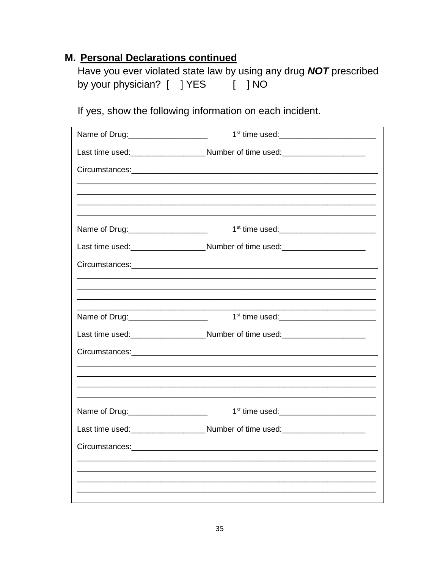| Have you ever violated state law by using any drug <b>NOT</b> prescribed |  |                                           |  |
|--------------------------------------------------------------------------|--|-------------------------------------------|--|
| by your physician? [ ] YES                                               |  | $\begin{bmatrix} 1 & 1 & 1 \end{bmatrix}$ |  |

If yes, show the following information on each incident.

| Name of Drug: ____________________   |                                                                                  |  |
|--------------------------------------|----------------------------------------------------------------------------------|--|
|                                      | Last time used:_______________________Number of time used:______________________ |  |
|                                      |                                                                                  |  |
|                                      |                                                                                  |  |
|                                      |                                                                                  |  |
| Name of Drug: ______________________ |                                                                                  |  |
|                                      | Last time used:________________________Number of time used:_____________________ |  |
|                                      |                                                                                  |  |
|                                      |                                                                                  |  |
|                                      |                                                                                  |  |
| Name of Drug: ______________________ |                                                                                  |  |
|                                      | Last time used:________________________Number of time used:_____________________ |  |
|                                      |                                                                                  |  |
|                                      |                                                                                  |  |
|                                      |                                                                                  |  |
| Name of Drug: _____________________  |                                                                                  |  |
|                                      | Last time used:___________________________Number of time used:__________________ |  |
|                                      |                                                                                  |  |
|                                      |                                                                                  |  |
|                                      |                                                                                  |  |
|                                      |                                                                                  |  |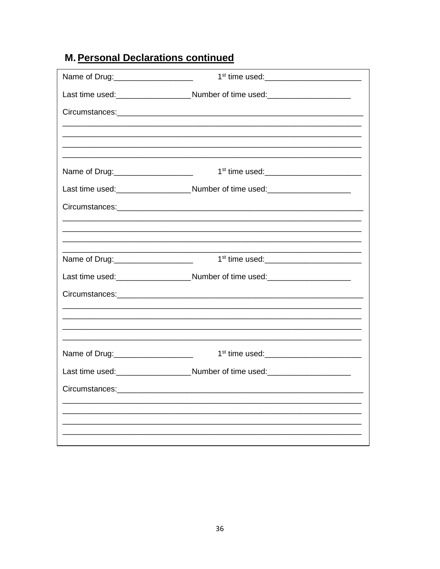|                                      | Last time used:____________________________Number of time used:_________________ |
|--------------------------------------|----------------------------------------------------------------------------------|
|                                      |                                                                                  |
|                                      |                                                                                  |
|                                      |                                                                                  |
| Name of Drug: _____________________  | 1 <sup>st</sup> time used:______________________________                         |
|                                      | Last time used:___________________________Number of time used:__________________ |
|                                      |                                                                                  |
|                                      |                                                                                  |
|                                      |                                                                                  |
| Name of Drug: ______________________ |                                                                                  |
|                                      | Last time used:________________________Number of time used:_____________________ |
|                                      |                                                                                  |
|                                      |                                                                                  |
|                                      |                                                                                  |
| Name of Drug: 1990-1000-2000         |                                                                                  |
|                                      | Last time used:_________________________Number of time used:____________________ |
|                                      |                                                                                  |
|                                      |                                                                                  |
|                                      |                                                                                  |
|                                      |                                                                                  |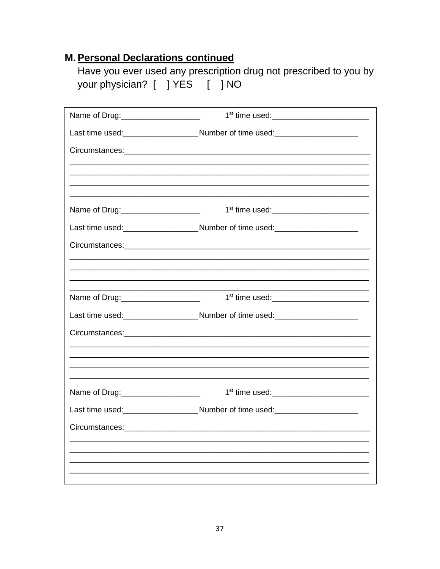|                                |  | Have you ever used any prescription drug not prescribed to you by |
|--------------------------------|--|-------------------------------------------------------------------|
| your physician? [ ] YES [ ] NO |  |                                                                   |

| Name of Drug:_____________________   |                                                                                  |
|--------------------------------------|----------------------------------------------------------------------------------|
|                                      | Last time used:__________________________Number of time used:___________________ |
|                                      |                                                                                  |
|                                      |                                                                                  |
|                                      |                                                                                  |
| Name of Drug: ______________________ |                                                                                  |
|                                      | Last time used:___________________________Number of time used:__________________ |
|                                      |                                                                                  |
|                                      |                                                                                  |
|                                      |                                                                                  |
| Name of Drug: ______________________ |                                                                                  |
|                                      | Last time used:____________________________Number of time used:_________________ |
|                                      |                                                                                  |
|                                      |                                                                                  |
|                                      |                                                                                  |
| Name of Drug: _____________________  |                                                                                  |
|                                      | Last time used:___________________________Number of time used:__________________ |
|                                      |                                                                                  |
|                                      |                                                                                  |
|                                      |                                                                                  |
|                                      |                                                                                  |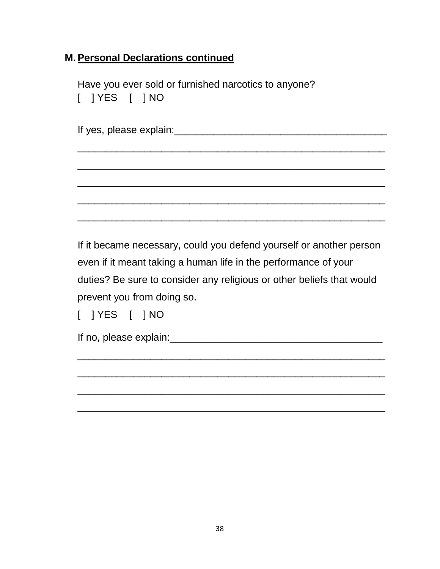Have you ever sold or furnished narcotics to anyone? [ ] YES [ ] NO

If it became necessary, could you defend yourself or another person even if it meant taking a human life in the performance of your duties? Be sure to consider any religious or other beliefs that would prevent you from doing so.

\_\_\_\_\_\_\_\_\_\_\_\_\_\_\_\_\_\_\_\_\_\_\_\_\_\_\_\_\_\_\_\_\_\_\_\_\_\_\_\_\_\_\_\_\_\_\_\_\_\_\_\_\_\_\_

\_\_\_\_\_\_\_\_\_\_\_\_\_\_\_\_\_\_\_\_\_\_\_\_\_\_\_\_\_\_\_\_\_\_\_\_\_\_\_\_\_\_\_\_\_\_\_\_\_\_\_\_\_\_\_

\_\_\_\_\_\_\_\_\_\_\_\_\_\_\_\_\_\_\_\_\_\_\_\_\_\_\_\_\_\_\_\_\_\_\_\_\_\_\_\_\_\_\_\_\_\_\_\_\_\_\_\_\_\_\_

\_\_\_\_\_\_\_\_\_\_\_\_\_\_\_\_\_\_\_\_\_\_\_\_\_\_\_\_\_\_\_\_\_\_\_\_\_\_\_\_\_\_\_\_\_\_\_\_\_\_\_\_\_\_\_

[ ] YES [ ] NO

If no, please explain:\_\_\_\_\_\_\_\_\_\_\_\_\_\_\_\_\_\_\_\_\_\_\_\_\_\_\_\_\_\_\_\_\_\_\_\_\_\_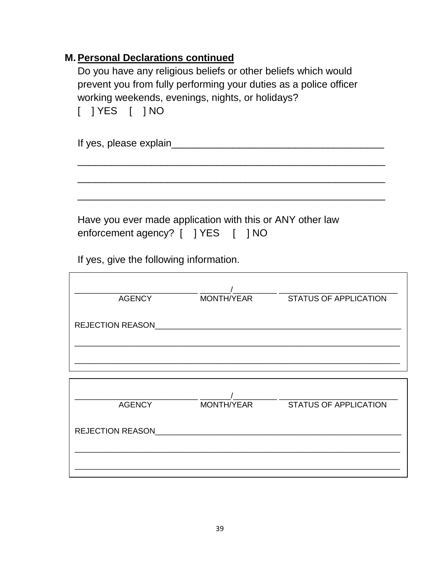Do you have any religious beliefs or other beliefs which would prevent you from fully performing your duties as a police officer working weekends, evenings, nights, or holidays?

|  | 1 YES |  | 1 NO |
|--|-------|--|------|
|--|-------|--|------|

| If yes, please explain |  |
|------------------------|--|
|                        |  |

\_\_\_\_\_\_\_\_\_\_\_\_\_\_\_\_\_\_\_\_\_\_\_\_\_\_\_\_\_\_\_\_\_\_\_\_\_\_\_\_\_\_\_\_\_\_\_\_\_\_\_\_\_\_\_

\_\_\_\_\_\_\_\_\_\_\_\_\_\_\_\_\_\_\_\_\_\_\_\_\_\_\_\_\_\_\_\_\_\_\_\_\_\_\_\_\_\_\_\_\_\_\_\_\_\_\_\_\_\_\_

\_\_\_\_\_\_\_\_\_\_\_\_\_\_\_\_\_\_\_\_\_\_\_\_\_\_\_\_\_\_\_\_\_\_\_\_\_\_\_\_\_\_\_\_\_\_\_\_\_\_\_\_\_\_\_

Have you ever made application with this or ANY other law enforcement agency? [ ] YES [ ] NO

If yes, give the following information.

| <b>AGENCY</b>           | MONTH/YEAR | <b>STATUS OF APPLICATION</b> |
|-------------------------|------------|------------------------------|
|                         |            |                              |
| <b>REJECTION REASON</b> |            |                              |
|                         |            |                              |
|                         |            |                              |
|                         |            |                              |
|                         |            |                              |
| <b>AGENCY</b>           | MONTH/YEAR | <b>STATUS OF APPLICATION</b> |

| <b>REJECTION REASON</b> |  |  |
|-------------------------|--|--|
|                         |  |  |
|                         |  |  |
|                         |  |  |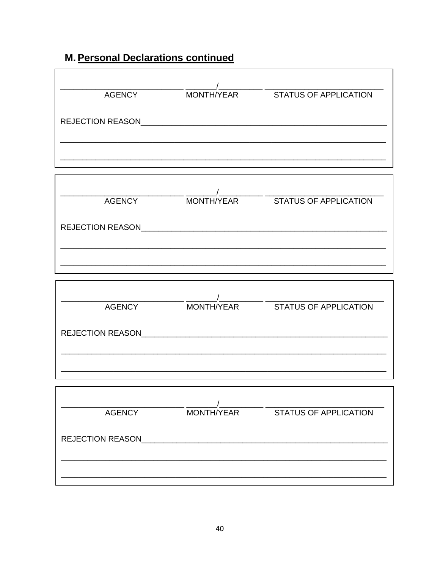| AGENCY                  |            |                       |
|-------------------------|------------|-----------------------|
| <b>REJECTION REASON</b> |            |                       |
|                         |            |                       |
| <b>AGENCY</b>           | MONTH/YEAR | STATUS OF APPLICATION |
|                         |            |                       |
|                         |            |                       |
| <b>AGENCY</b>           |            |                       |
|                         |            |                       |
|                         |            |                       |
|                         |            |                       |
| <b>AGENCY</b>           | MONTH/YEAR | STATUS OF APPLICATION |
|                         |            |                       |
|                         |            |                       |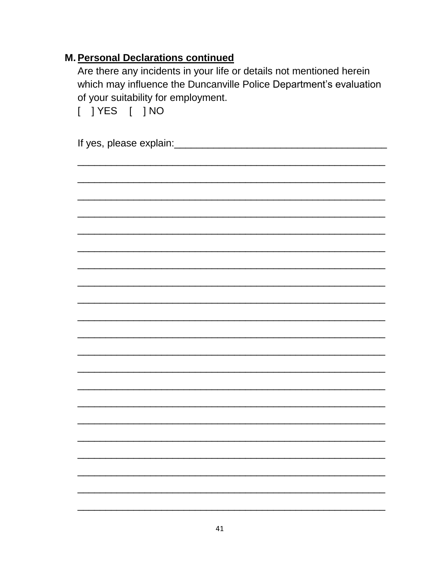Are there any incidents in your life or details not mentioned herein which may influence the Duncanville Police Department's evaluation of your suitability for employment.

 $[$  ] YES  $[$  ] NO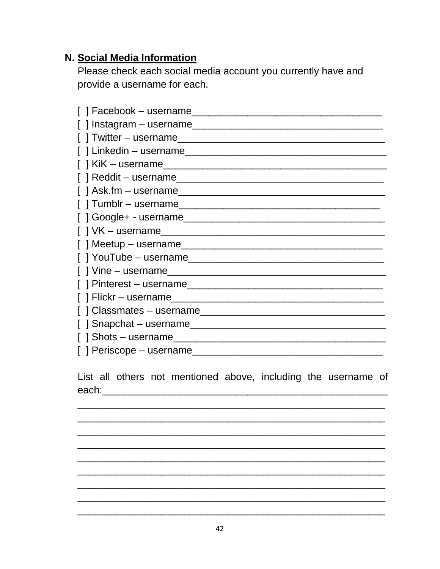#### N. Social Media Information

Please check each social media account you currently have and provide a username for each.

| $[ ]$ Instagram – username   |
|------------------------------|
|                              |
|                              |
| $\lceil$   KiK – username    |
|                              |
| $\lceil$ ask.fm – username   |
|                              |
|                              |
|                              |
| $\lceil$   Meetup – username |
|                              |
|                              |
|                              |
|                              |
|                              |
|                              |
|                              |
|                              |

List all others not mentioned above, including the username of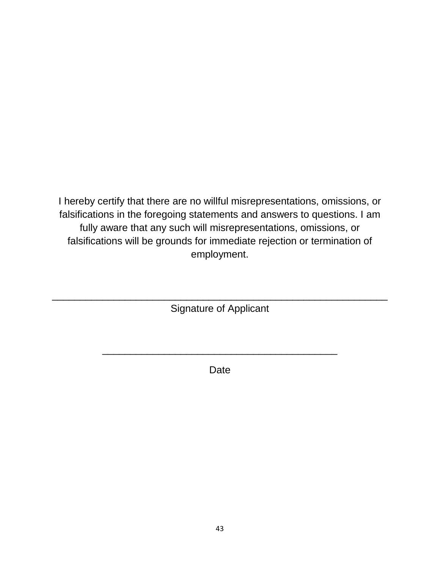I hereby certify that there are no willful misrepresentations, omissions, or falsifications in the foregoing statements and answers to questions. I am fully aware that any such will misrepresentations, omissions, or falsifications will be grounds for immediate rejection or termination of employment.

\_\_\_\_\_\_\_\_\_\_\_\_\_\_\_\_\_\_\_\_\_\_\_\_\_\_\_\_\_\_\_\_\_\_\_\_\_\_\_\_\_\_\_\_\_\_\_\_\_\_\_\_\_\_\_\_\_\_\_\_ Signature of Applicant

Date

\_\_\_\_\_\_\_\_\_\_\_\_\_\_\_\_\_\_\_\_\_\_\_\_\_\_\_\_\_\_\_\_\_\_\_\_\_\_\_\_\_\_